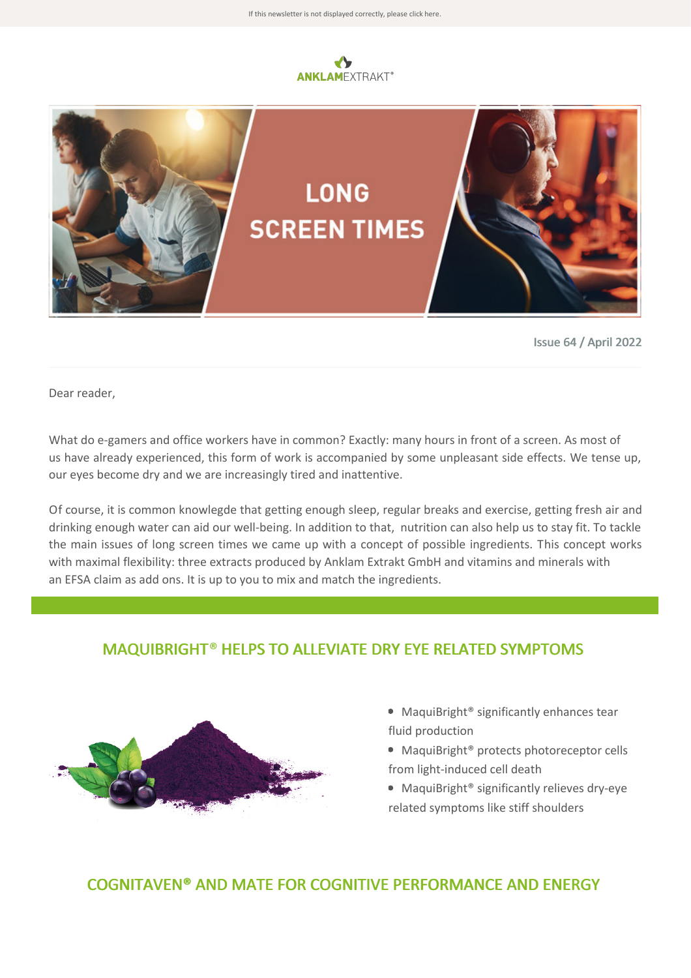



Issue 64 / April 2022

Dear reader,

What do e-gamers and office workers have in common? Exactly: many hours in front of a screen. As most of us have already experienced, this form of work is accompanied by some unpleasant side effects. We tense up, our eyes become dry and we are increasingly tired and inattentive.

Of course, it is common knowlegde that getting enough sleep, regular breaks and exercise, getting fresh air and drinking enough water can aid our well-being. In addition to that, nutrition can also help us to stay fit. To tackle the main issues of long screen times we came up with a concept of possible ingredients. This concept works with maximal flexibility: three extracts produced by Anklam Extrakt GmbH and vitamins and minerals with an EFSA claim as add ons. It is up to you to mix and match the ingredients.

## MAQUIBRIGHT® HELPS TO ALLEVIATE DRY EYE RELATED SYMPTOMS



- MaquiBright<sup>®</sup> significantly enhances tear fluid production
- MaquiBright<sup>®</sup> protects photoreceptor cells from light-induced cell death
- MaquiBright<sup>®</sup> significantly relieves dry-eye related symptoms like stiff shoulders

## COGNITAVEN® AND MATE FOR COGNITIVE PERFORMANCE AND ENERGY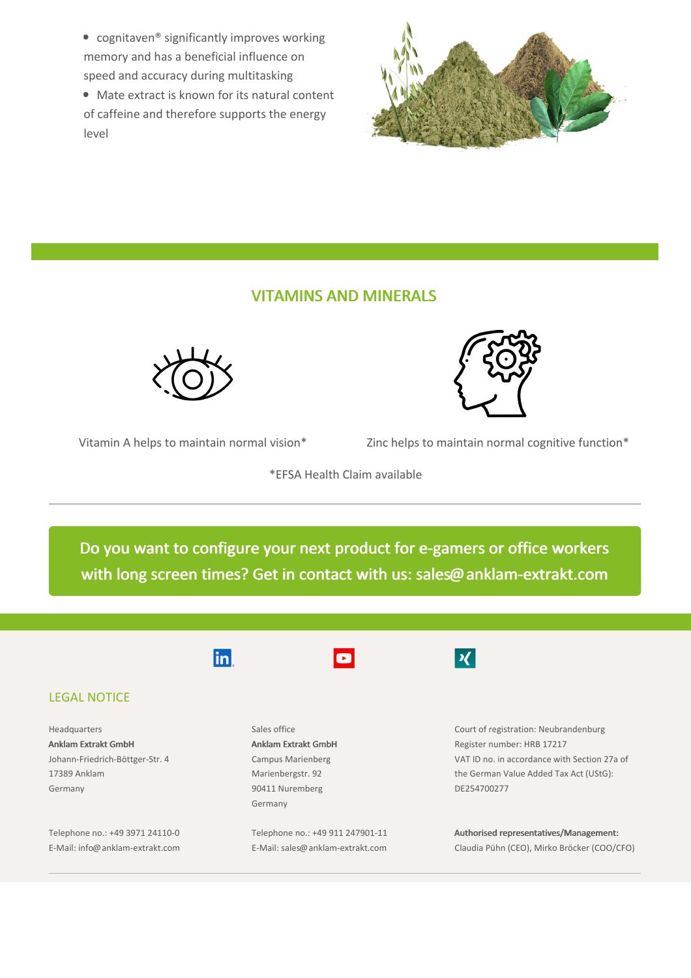● cognitaven<sup>®</sup> significantly improves working memory and has a beneficial influence on speed and accuracy during multitasking

Mate extract is known for its natural content of caffeine and therefore supports the energy level



## VITAMINS AND MINERALS



Vitamin A helps to maintain normal vision\* Zinc helps to maintain normal cognitive function\*

\*EFSA Health Claim available

Do you want to configure your next product for e-gamers or office workers with long screen times? Get in contact with us: [sales@anklam-extrakt.com](mailto:sales@anklam-extrakt.com?subject=Screen%20time%20product)



## LEGAL NOTICE

Headquarters Anklam Extrakt GmbH Johann-Friedrich-Böttger-Str. 4 17389 Anklam Germany

Telephone no.: +49 3971 24110-0 E-Mail: info@anklam-extrakt.com



Sales office Anklam Extrakt GmbH Campus Marienberg Marienbergstr. 92 90411 Nuremberg Germany

Telephone no.: +49 911 247901-11 E-Mail: sales@anklam-extrakt.com



Court of registration: Neubrandenburg Register number: HRB 17217 VAT ID no. in accordance with Section 27a of the German Value Added Tax Act (UStG): DE254700277

Authorised representatives/Management: Claudia Pühn (CEO), Mirko Bröcker (COO/CFO)